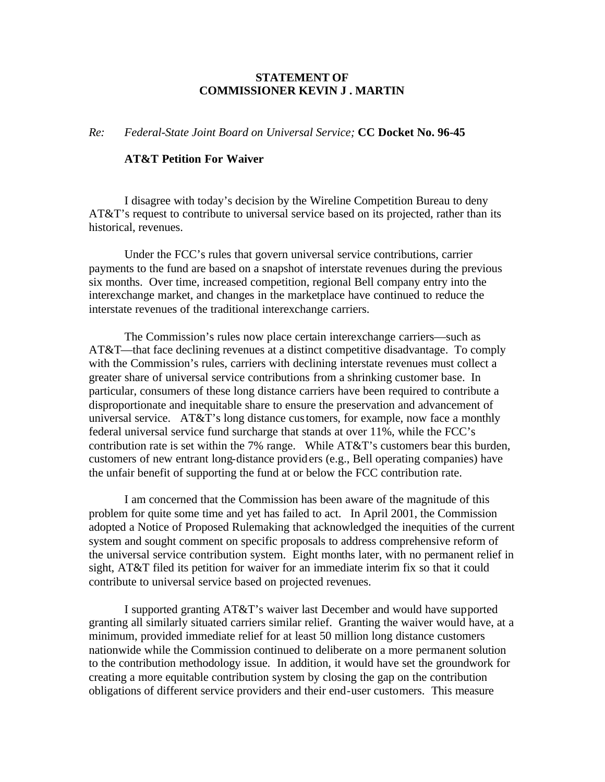## **STATEMENT OF COMMISSIONER KEVIN J . MARTIN**

*Re: Federal-State Joint Board on Universal Service;* **CC Docket No. 96-45**

## **AT&T Petition For Waiver**

I disagree with today's decision by the Wireline Competition Bureau to deny AT&T's request to contribute to universal service based on its projected, rather than its historical, revenues.

Under the FCC's rules that govern universal service contributions, carrier payments to the fund are based on a snapshot of interstate revenues during the previous six months. Over time, increased competition, regional Bell company entry into the interexchange market, and changes in the marketplace have continued to reduce the interstate revenues of the traditional interexchange carriers.

The Commission's rules now place certain interexchange carriers—such as AT&T—that face declining revenues at a distinct competitive disadvantage. To comply with the Commission's rules, carriers with declining interstate revenues must collect a greater share of universal service contributions from a shrinking customer base. In particular, consumers of these long distance carriers have been required to contribute a disproportionate and inequitable share to ensure the preservation and advancement of universal service. AT&T's long distance customers, for example, now face a monthly federal universal service fund surcharge that stands at over 11%, while the FCC's contribution rate is set within the 7% range. While AT&T's customers bear this burden, customers of new entrant long-distance providers (e.g., Bell operating companies) have the unfair benefit of supporting the fund at or below the FCC contribution rate.

I am concerned that the Commission has been aware of the magnitude of this problem for quite some time and yet has failed to act. In April 2001, the Commission adopted a Notice of Proposed Rulemaking that acknowledged the inequities of the current system and sought comment on specific proposals to address comprehensive reform of the universal service contribution system. Eight months later, with no permanent relief in sight, AT&T filed its petition for waiver for an immediate interim fix so that it could contribute to universal service based on projected revenues.

I supported granting AT&T's waiver last December and would have supported granting all similarly situated carriers similar relief. Granting the waiver would have, at a minimum, provided immediate relief for at least 50 million long distance customers nationwide while the Commission continued to deliberate on a more permanent solution to the contribution methodology issue. In addition, it would have set the groundwork for creating a more equitable contribution system by closing the gap on the contribution obligations of different service providers and their end-user customers. This measure